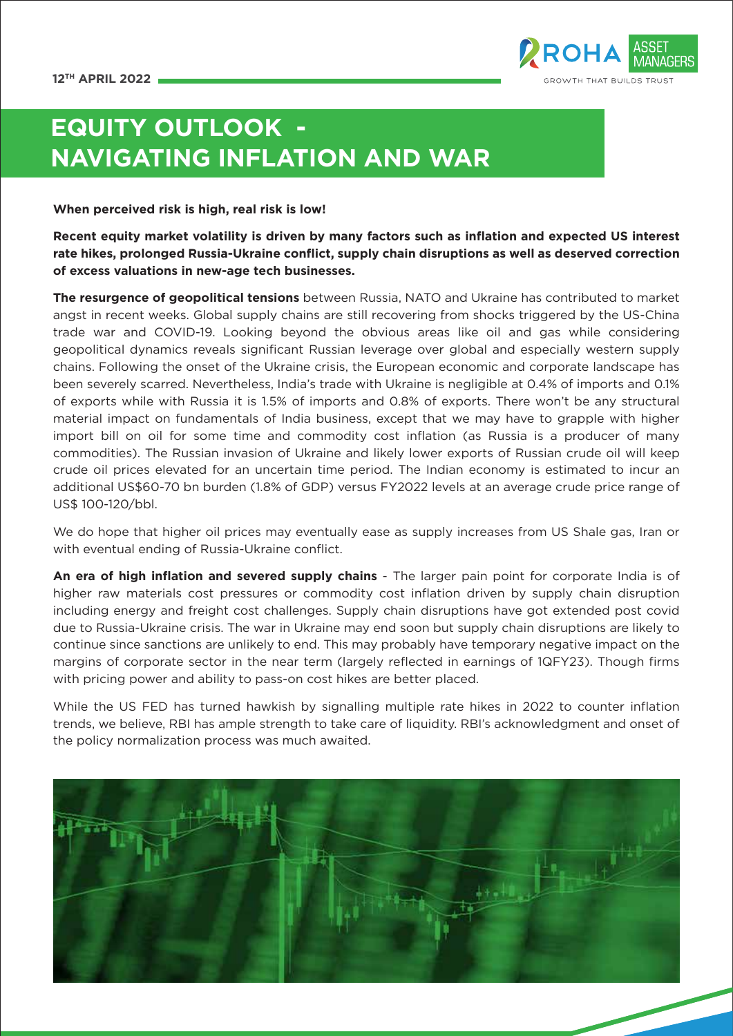

# **EQUITY OUTLOOK - NAVIGATING INFLATION AND WAR**

**When perceived risk is high, real risk is low!**

**Recent equity market volatility is driven by many factors such as inflation and expected US interest rate hikes, prolonged Russia-Ukraine conflict, supply chain disruptions as well as deserved correction of excess valuations in new-age tech businesses.** 

**The resurgence of geopolitical tensions** between Russia, NATO and Ukraine has contributed to market angst in recent weeks. Global supply chains are still recovering from shocks triggered by the US-China trade war and COVID-19. Looking beyond the obvious areas like oil and gas while considering geopolitical dynamics reveals significant Russian leverage over global and especially western supply chains. Following the onset of the Ukraine crisis, the European economic and corporate landscape has been severely scarred. Nevertheless, India's trade with Ukraine is negligible at 0.4% of imports and 0.1% of exports while with Russia it is 1.5% of imports and 0.8% of exports. There won't be any structural material impact on fundamentals of India business, except that we may have to grapple with higher import bill on oil for some time and commodity cost inflation (as Russia is a producer of many commodities). The Russian invasion of Ukraine and likely lower exports of Russian crude oil will keep crude oil prices elevated for an uncertain time period. The Indian economy is estimated to incur an additional US\$60-70 bn burden (1.8% of GDP) versus FY2022 levels at an average crude price range of US\$ 100-120/bbl.

We do hope that higher oil prices may eventually ease as supply increases from US Shale gas, Iran or with eventual ending of Russia-Ukraine conflict.

**An era of high inflation and severed supply chains** - The larger pain point for corporate India is of higher raw materials cost pressures or commodity cost inflation driven by supply chain disruption including energy and freight cost challenges. Supply chain disruptions have got extended post covid due to Russia-Ukraine crisis. The war in Ukraine may end soon but supply chain disruptions are likely to continue since sanctions are unlikely to end. This may probably have temporary negative impact on the margins of corporate sector in the near term (largely reflected in earnings of 1QFY23). Though firms with pricing power and ability to pass-on cost hikes are better placed.

While the US FED has turned hawkish by signalling multiple rate hikes in 2022 to counter inflation trends, we believe, RBI has ample strength to take care of liquidity. RBI's acknowledgment and onset of the policy normalization process was much awaited.

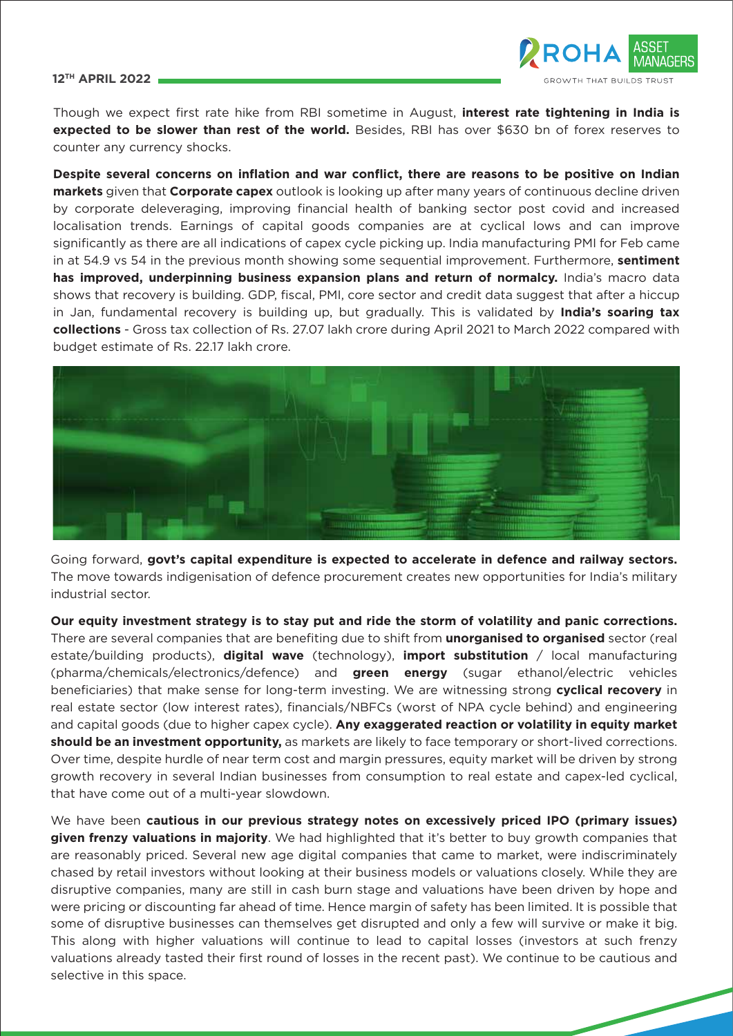# **12TH APRIL 2022**



Though we expect first rate hike from RBI sometime in August, **interest rate tightening in India is expected to be slower than rest of the world.** Besides, RBI has over \$630 bn of forex reserves to counter any currency shocks.

**Despite several concerns on inflation and war conflict, there are reasons to be positive on Indian markets** given that **Corporate capex** outlook is looking up after many years of continuous decline driven by corporate deleveraging, improving financial health of banking sector post covid and increased localisation trends. Earnings of capital goods companies are at cyclical lows and can improve significantly as there are all indications of capex cycle picking up. India manufacturing PMI for Feb came in at 54.9 vs 54 in the previous month showing some sequential improvement. Furthermore, **sentiment has improved, underpinning business expansion plans and return of normalcy.** India's macro data shows that recovery is building. GDP, fiscal, PMI, core sector and credit data suggest that after a hiccup in Jan, fundamental recovery is building up, but gradually. This is validated by **India's soaring tax collections** - Gross tax collection of Rs. 27.07 lakh crore during April 2021 to March 2022 compared with budget estimate of Rs. 22.17 lakh crore.



Going forward, **govt's capital expenditure is expected to accelerate in defence and railway sectors.**  The move towards indigenisation of defence procurement creates new opportunities for India's military industrial sector.

**Our equity investment strategy is to stay put and ride the storm of volatility and panic corrections.** There are several companies that are benefiting due to shift from **unorganised to organised** sector (real estate/building products), **digital wave** (technology), **import substitution** / local manufacturing (pharma/chemicals/electronics/defence) and **green energy** (sugar ethanol/electric vehicles beneficiaries) that make sense for long-term investing. We are witnessing strong **cyclical recovery** in real estate sector (low interest rates), financials/NBFCs (worst of NPA cycle behind) and engineering and capital goods (due to higher capex cycle). **Any exaggerated reaction or volatility in equity market should be an investment opportunity,** as markets are likely to face temporary or short-lived corrections. Over time, despite hurdle of near term cost and margin pressures, equity market will be driven by strong growth recovery in several Indian businesses from consumption to real estate and capex-led cyclical, that have come out of a multi-year slowdown.

We have been **cautious in our previous strategy notes on excessively priced IPO (primary issues) given frenzy valuations in majority**. We had highlighted that it's better to buy growth companies that are reasonably priced. Several new age digital companies that came to market, were indiscriminately chased by retail investors without looking at their business models or valuations closely. While they are disruptive companies, many are still in cash burn stage and valuations have been driven by hope and were pricing or discounting far ahead of time. Hence margin of safety has been limited. It is possible that some of disruptive businesses can themselves get disrupted and only a few will survive or make it big. This along with higher valuations will continue to lead to capital losses (investors at such frenzy valuations already tasted their first round of losses in the recent past). We continue to be cautious and selective in this space.